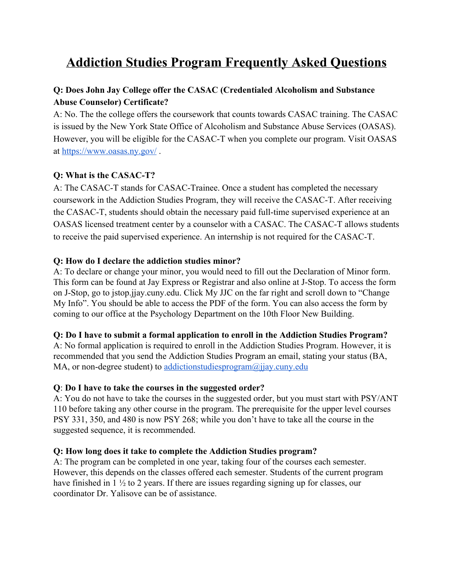# **Addiction Studies Program Frequently Asked Questions**

# **Q: Does John Jay College offer the CASAC (Credentialed Alcoholism and Substance Abuse Counselor) Certificate?**

A: No. The the college offers the coursework that counts towards CASAC training. The CASAC is issued by the New York State Office of Alcoholism and Substance Abuse Services (OASAS). However, you will be eligible for the CASAC-T when you complete our program. Visit OASAS at<https://www.oasas.ny.gov/>.

## **Q: What is the CASAC-T?**

A: The CASAC-T stands for CASAC-Trainee. Once a student has completed the necessary coursework in the Addiction Studies Program, they will receive the CASAC-T. After receiving the CASAC-T, students should obtain the necessary paid full-time supervised experience at an OASAS licensed treatment center by a counselor with a CASAC. The CASAC-T allows students to receive the paid supervised experience. An internship is not required for the CASAC-T.

## **Q: How do I declare the addiction studies minor?**

A: To declare or change your minor, you would need to fill out the Declaration of Minor form. This form can be found at Jay Express or Registrar and also online at J-Stop. To access the form on J-Stop, go to jstop.jjay.cuny.edu. Click My JJC on the far right and scroll down to "Change My Info". You should be able to access the PDF of the form. You can also access the form by coming to our office at the Psychology Department on the 10th Floor New Building.

## **Q: Do I have to submit a formal application to enroll in the Addiction Studies Program?**

A: No formal application is required to enroll in the Addiction Studies Program. However, it is recommended that you send the Addiction Studies Program an email, stating your status (BA, MA, or non-degree student) to [addictionstudiesprogram@jjay.cuny.edu](mailto:addictionstudiesprogram@jjay.cuny.edu)

## **Q**: **Do I have to take the courses in the suggested order?**

A: You do not have to take the courses in the suggested order, but you must start with PSY/ANT 110 before taking any other course in the program. The prerequisite for the upper level courses PSY 331, 350, and 480 is now PSY 268; while you don't have to take all the course in the suggested sequence, it is recommended.

#### **Q: How long does it take to complete the Addiction Studies program?**

A: The program can be completed in one year, taking four of the courses each semester. However, this depends on the classes offered each semester. Students of the current program have finished in 1 ½ to 2 years. If there are issues regarding signing up for classes, our coordinator Dr. Yalisove can be of assistance.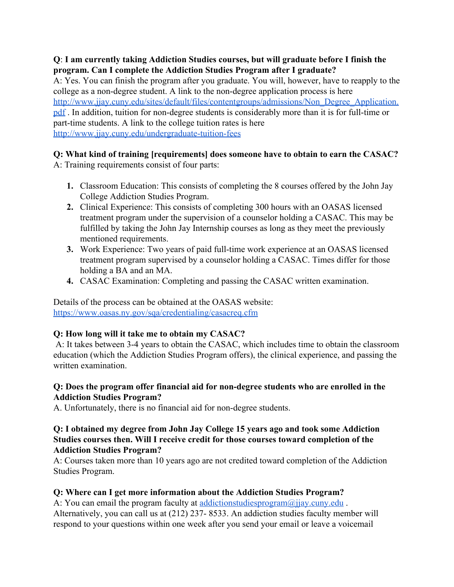# **Q**: **I am currently taking Addiction Studies courses, but will graduate before I finish the program. Can I complete the Addiction Studies Program after I graduate?**

A: Yes. You can finish the program after you graduate. You will, however, have to reapply to the college as a non-degree student. A link to the non-degree application process is here [http://www.jjay.cuny.edu/sites/default/files/contentgroups/admissions/Non\\_Degree\\_Application.](http://www.jjay.cuny.edu/sites/default/files/contentgroups/admissions/Non_Degree_Application.pdf) [pdf](http://www.jjay.cuny.edu/sites/default/files/contentgroups/admissions/Non_Degree_Application.pdf) . In addition, tuition for non-degree students is considerably more than it is for full-time or part-time students. A link to the college tuition rates is here <http://www.jjay.cuny.edu/undergraduate-tuition-fees>

# **Q: What kind of training [requirements] does someone have to obtain to earn the CASAC?**

A: Training requirements consist of four parts:

- **1.** Classroom Education: This consists of completing the 8 courses offered by the John Jay College Addiction Studies Program.
- **2.** Clinical Experience: This consists of completing 300 hours with an OASAS licensed treatment program under the supervision of a counselor holding a CASAC. This may be fulfilled by taking the John Jay Internship courses as long as they meet the previously mentioned requirements.
- **3.** Work Experience: Two years of paid full-time work experience at an OASAS licensed treatment program supervised by a counselor holding a CASAC. Times differ for those holding a BA and an MA.
- **4.** CASAC Examination: Completing and passing the CASAC written examination.

Details of the process can be obtained at the OASAS website: <https://www.oasas.ny.gov/sqa/credentialing/casacreq.cfm>

# **Q: How long will it take me to obtain my CASAC?**

 A: It takes between 3-4 years to obtain the CASAC, which includes time to obtain the classroom education (which the Addiction Studies Program offers), the clinical experience, and passing the written examination.

# **Q: Does the program offer financial aid for non-degree students who are enrolled in the Addiction Studies Program?**

A. Unfortunately, there is no financial aid for non-degree students.

#### **Q: I obtained my degree from John Jay College 15 years ago and took some Addiction Studies courses then. Will I receive credit for those courses toward completion of the Addiction Studies Program?**

A: Courses taken more than 10 years ago are not credited toward completion of the Addiction Studies Program.

# **Q: Where can I get more information about the Addiction Studies Program?**

A: You can email the program faculty at <u>addictionstudiesprogram</u>@jjay.cuny.edu . Alternatively, you can call us at (212) 237- 8533. An addiction studies faculty member will respond to your questions within one week after you send your email or leave a voicemail